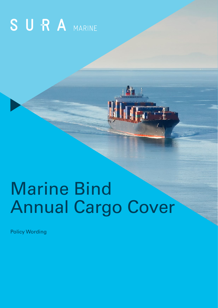# SURA MARINE

## Marine Bind Annual Cargo Cover

Policy Wording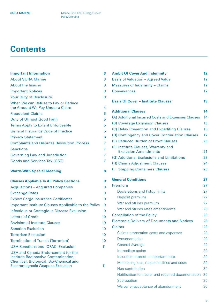## **Contents**

| <b>Important Information</b>                                                                                         | 3  |
|----------------------------------------------------------------------------------------------------------------------|----|
| <b>About SURA Marine</b>                                                                                             | 3  |
| <b>About the Insurer</b>                                                                                             | 3  |
| <b>Important Notices</b>                                                                                             | 3  |
| <b>Your Duty of Disclosure</b>                                                                                       | 3  |
| When We can Refuse to Pay or Reduce<br>the Amount We Pay Under a Claim                                               | 4  |
| <b>Fraudulent Claims</b>                                                                                             | 5  |
| <b>Duty of Utmost Good Faith</b>                                                                                     | 5  |
| <b>Terms Apply to Extent Enforceable</b>                                                                             | 5  |
| <b>General Insurance Code of Practice</b>                                                                            | 5  |
| <b>Privacy Statement</b>                                                                                             | 6  |
| <b>Complaints and Disputes Resolution Process</b>                                                                    | 7  |
| <b>Sanctions</b>                                                                                                     | 7  |
| <b>Governing Law and Jurisdiction</b>                                                                                | 7  |
| <b>Goods and Services Tax (GST)</b>                                                                                  | 7  |
| <b>Words With Special Meaning</b>                                                                                    | 8  |
| <b>Clauses Appliable To All Policy Sections</b>                                                                      | 9  |
| <b>Acquisitions - Acquired Companies</b>                                                                             | 9  |
| <b>Exchange Rates</b>                                                                                                | 9  |
| <b>Export Cargo Insurance Certificates</b>                                                                           | 9  |
| Important Institute Clauses Applicable to the Policy                                                                 | 9  |
| <b>Infectious or Contagious Disease Exclusion</b>                                                                    | 9  |
| <b>Letters of Credit</b>                                                                                             | 10 |
| <b>Revision of Institute Clauses</b>                                                                                 | 10 |
| <b>Sanction Exclusion</b>                                                                                            | 10 |
| <b>Terrorism Exclusion</b>                                                                                           | 10 |
| <b>Termination of Transit (Terrorism)</b>                                                                            | 10 |
| <b>USA Sanctions and 'OFAC' Exclusion</b>                                                                            | 11 |
| USA and Canada Endorsement for the<br>Institute Radioactive Contamination,<br>Chemical, Biological, Bio-Chemical and |    |
| <b>Electromagnetic Weapons Exclusion</b>                                                                             | 11 |

| <b>Ambit Of Cover And Indemnity</b>                 | 12 |
|-----------------------------------------------------|----|
| <b>Basis of Valuation - Agreed Value</b>            | 12 |
| <b>Measures of Indemnity - Claims</b>               | 12 |
| <b>Conveyances</b>                                  | 12 |
| <b>Basis Of Cover - Institute Clauses</b>           | 13 |
| <b>Additional Clauses</b>                           | 14 |
| (A) Additional Incurred Costs and Expenses Clauses  | 14 |
| (B) Coverage Extension Clauses                      | 15 |
| (C) Delay Prevention and Expediting Clauses         | 16 |
| (D) Contingency and Cover Continuation Clauses      | 17 |
| (E) Reduced Burden of Proof Clauses                 | 20 |
| (F) Institute Clauses, Warranty and                 |    |
| <b>Exclusion Amendments</b>                         | 21 |
| (G) Additional Exclusions and Limitations           | 23 |
| (H) Claims Adjustment Clauses                       | 24 |
| (I) Shipping Containers Clauses                     | 26 |
| <b>General Conditions</b>                           | 27 |
| Premium                                             | 27 |
| <b>Declarations and Policy limits</b>               | 27 |
| Deposit premium                                     | 27 |
| War and strikes premium                             | 27 |
| War and strikes rates amendments                    | 28 |
| <b>Cancellation of the Policy</b>                   | 28 |
| <b>Electronic Delivery of Documents and Notices</b> | 28 |
| <b>Claims</b>                                       | 28 |
| Claims preparation costs and expenses               | 28 |
| Documentation                                       | 28 |
| <b>General Average</b>                              | 29 |
| Immediate action                                    | 29 |
| Insurable Interest - Important note                 | 29 |
| Minimising loss, responsibilities and costs         | 29 |
| Non-contribution                                    | 30 |
| Notification to insurer and required documentation  | 30 |
| Subrogation                                         | 30 |
| Waiver or acceptance of abandonment                 | 30 |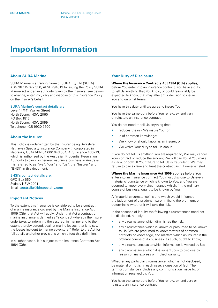## <span id="page-2-0"></span>**Important Information**

#### **About SURA Marine**

SURA Marine is a trading name of SURA Pty Ltd (SURA) ABN 36 115 672 350, AFSL 294313.In issuing the Policy SURA Marine act under an authority given by the Insurers (see below) to arrange, enter into, vary and dispose of this insurance Policy on the Insurer's behalf.

#### SURA Marine's contact details are:

Level 14/141 Walker Street North Sydney NSW 2060 PO Box 1813 North Sydney NSW 2059 Telephone: (02) 9930 9500

#### **About the Insurer**

This Policy is underwritten by the Insurer being Berkshire Hathaway Specialty Insurance Company (Incorporated in Nebraska, USA) ABN 84 600 643 034, AFS Licence 466713, which is authorised by the Australian Prudential Regulation Authority to carry on general insurance business in Australia. It is referred to as "we", "our" and "us", the "Insurer" and "BHSI" in this document.

#### BHSI's contact details are: GPO Box 650 Sydney NSW 2001 Email: [australia@bhspecialty.com](mailto:australia%40bhspecialty.com?subject=)

#### **Important Notices**

To the extent this insurance is considered to be a contract of marine insurance covered by the Marine Insurance Act 1909 (Cth), that Act will apply. Under that Act a contract of marine insurance is defined as "a contract whereby the insurer undertakes to indemnify the assured, in manner and to the extent thereby agreed, against marine losses, that is to say, the losses incident to marine adventure." Refer to the Act for full details and other provisions which affect this definition.

In all other cases, it is subject to the Insurance Contracts Act 1984 (Cth).

#### **Your Duty of Disclosure**

#### **Where the Insurance Contracts Act 1984 (Cth) applies,**

before You enter into an insurance contract, You have a duty, to tell Us anything that You know, or could reasonably be expected to know, that may affect Our decision to insure You and on what terms.

You have this duty until we agree to insure You.

You have the same duty before You renew, extend vary or reinstate an insurance contract.

You do not need to tell Us anything that:

- reduces the risk We insure You for:
- is of common knowledge;
- We know or should know as an insurer; or
- We waive Your duty to tell Us about.

If You do not tell us anything You are required to, We may cancel Your contract or reduce the amount We will pay You if You make a claim, or both. If Your failure to tell Us is fraudulent, We may refuse to pay a claim and treat the contract as if it never existed.

**Where the Marine Insurance Act 1909 applies** before You enter into an insurance contract You must disclose to Us every material circumstance which is known to You, and You are deemed to know every circumstance which, in the ordinary course of business, ought to be known by You.

A "material circumstance" is one which would influence the judgement of a prudent insurer in fixing the premium, or determining whether it will take the risk.

In the absence of inquiry the following circumstances need not be disclosed, namely:

- any circumstance which diminishes the risk;
- any circumstance which is known or presumed to be known to Us. We are presumed to know matters of common notoriety or knowledge, and matters which an insurer in the ordinary course of its business, as such, ought to know;
- any circumstance as to which information is waived by Us;
- any circumstance which it is superfluous to disclose by reason of any express or implied warranty.

Whether any particular circumstance, which is not disclosed, be material or not is, in each case, a question of fact. The term circumstance includes any communication made to, or information received by, You.

You have the same duty before You renew, extend vary or reinstate an insurance contract.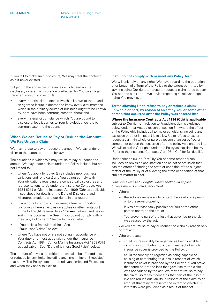<span id="page-3-0"></span>If You fail to make such disclosure, We may treat the contract as if it never existed.

Subject to the above circumstances which need not be disclosed, where this insurance is effected for You by an agent, the agent must disclose to Us:

- every material circumstance which is known to them, and an agent to insure is deemed to know every circumstance which in the ordinary course of business ought to be known by, or to have been communicated to, them; and
- every material circumstance which You are bound to disclose unless it comes to Your knowledge too late to communicate it to the agent.

#### **When We can Refuse to Pay or Reduce the Amount We Pay Under a Claim**

We may refuse to pay or reduce the amount We pay under a claim to the extent permitted by law.

The situations in which We may refuse to pay or reduce the amount We pay under a claim under the Policy include (but are not limited to):

- when You apply for cover (this includes new business, variations and renewals) and You do not comply with Your obligations regarding pre contractual disclosures and representations to Us under the Insurance Contracts Act 1984 (Cth) or Marine Insurance Act 1909 (Cth) as applicable – see above for details of the Duty of Disclosure and Misrepresentations and our rights in this regard;
- if You do not comply with or meet a term or condition (including where an exclusion applies or other limitation) of the Policy (All referred to as "**Terms**" when used below and in this document) – See "If you do not comply with or meet any Policy Term" below for more detail;
- if You make a fraudulent claim See "Fraudulent Claims" below;
- where You have not or are not acting in accordance with Your duty of utmost good faith under the Insurance Contracts Act 1984 (Cth) or Marine Insurance Act 1909 (Cth) as applicable – See "Duty of Utmost Good Faith" below.

The amount of any claim entitlement can also be affected and/ or reduced by any limits (including any time limits) or Excess(es) that apply. The Policy sets out the relevant limits and Excess(es) and when they apply to a claim.

#### **If You do not comply with or meet any Policy Term**

We will only rely on any rights We have regarding the operation of or breach of a Term of the Policy to the extent permitted by law (including Our right to refuse or reduce a claim noted above). You need to seek Your own advice regarding all relevant legal rights You may have.

#### **Terms allowing Us to refuse to pay or reduce a claim (in whole or part) by reason of an act by You or some other person that occurred after the Policy was entered into**

#### **Where the Insurance Contracts Act 1984 (Cth) is applicable**, subject to Our rights in relation to Fraudulent claims explained below under that Act, by reason of section 54 ,where the effect of the Policy (this includes all terms or conditions, including any exclusion or other limitation) is to allow Us to refuse to pay or reduce a claim (in whole or part) by reason of an act by You or some other person that occurred after the policy was entered into, We will exercise Our rights under the Policy as explained below

Under section 54, an "act" by You or some other person includes an omission and inaction and an act or omission that has the effect of altering the state or condition of the subjectmatter of the Policy or of allowing the state or condition of that subject-matter to alter.

(Refer to the Insurance Contracts Act 1984 (Cth) for full details).

*How We exercise Our rights where section 54 applies (unless there is a Fraudulent claim)*

- Where:
	- the act was necessary to protect the safety of a person or to preserve property;
	- it was not reasonably possible for You or the other person not to do the act; or
	- You prove no part of the loss that gave rise to the claim was caused by the act,

We will not refuse to pay or reduce the claim by reason only of that act.

- Where the act:
	- could not reasonably be regarded as being capable of causing or contributing to a loss in respect of which insurance cover is provided by the Policy; or
	- could reasonably be regarded as being capable of causing or contributing to a loss in respect of which insurance cover is provided by the Policy but You prove that some part of the loss that gave rise to the claim was not caused by the act, We may not refuse to pay the claim, so far as it concerns that part of the loss but, We can reduce our liability in respect of the claim by an amount that fairly represents the extent to which Our interests were prejudiced as a result of that act.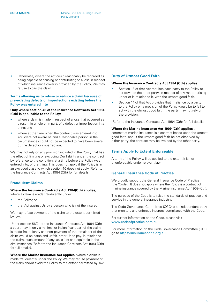<span id="page-4-0"></span>• Otherwise, where the act could reasonably be regarded as being capable of causing or contributing to a loss in respect of which insurance cover is provided by the Policy, We may refuse to pay the claim.

#### **Terms allowing us to refuse or reduce a claim because of pre-existing defects or imperfections existing before the Policy was entered into**

#### **Only where section 46 of the Insurance Contracts Act 1984 (Cth) is applicable to the Policy:**

- where a claim is made in respect of a loss that occurred as a result, in whole or in part, of a defect or imperfection in a thing; and
- where at the time when the contract was entered into You were not aware of, and a reasonable person in the circumstances could not be expected to have been aware of, the defect or imperfection,

We may not rely on any provision included in the Policy that has the effect of limiting or excluding Our liability under the contract by reference to the condition, at a time before the Policy was entered into, of the thing. This does not apply if the Policy is in an excluded class to which section 46 does not apply (Refer to the Insurance Contracts Act 1984 (Cth) for full details).

#### **Fraudulent Claims**

#### **Where the Insurance Contracts Act 1984(Cth) applies**,

where a claim is made fraudulently under:

- the Policy; or
- that Act against Us by a person who is not the insured.

We may refuse payment of the claim to the extent permitted by law.

Under section 56(2) of the Insurance Contracts Act 1984 (Cth) a court may, if only a minimal or insignificant part of the claim is made fraudulently and non-payment of the remainder of the claim would be harsh and unfair, order Us to pay, in relation to the claim, such amount (if any) as is just and equitable in the circumstances (Refer to the Insurance Contracts Act 1984 (Cth) for full details).

**Where the Marine Insurance Act applies**, where a claim is made fraudulently under the Policy We may refuse payment of the claim and/or avoid the Policy to the extent permitted by law.

#### **Duty of Utmost Good Faith**

#### **Where the Insurance Contracts Act 1984 (Cth) applies:**

- Section 13 of that Act requires each party to the Policy to act towards the other party, in respect of any matter arising under or in relation to it, with the utmost good faith.
- Section 14 of that Act provides that if reliance by a party to the Policy on a provision of the Policy would be to fail to act with the utmost good faith, the party may not rely on the provision.

(Refer to the Insurance Contracts Act 1984 (Cth) for full details).

#### **Where the Marine Insurance Act 1909 (Cth) applies** a

contract of marine insurance is a contract based upon the utmost good faith, and, if the utmost good faith be not observed by either party, the contract may be avoided by the other party.

### **Terms Apply to Extent Enforceable**

A term of the Policy will be applied to the extent it is not unenforceable under relevant law.

#### **General Insurance Code of Practice**

We proudly support the General Insurance Code of Practice (the 'Code'). It does not apply where the Policy is a contract of marine insurance covered by the Marine Insurance Act 1909 (Cth).

The purpose of the Code is to raise the standards of practice and service in the general insurance industry.

The Code Governance Committee (CGC) is an independent body that monitors and enforces insurers' compliance with the Code.

For further information on the Code, please visit [www.codeofpractice.com.au](http://www.codeofpractice.com.au)

For more information on the Code Governance Committee (CGC) go to <https://insurancecode.org.au>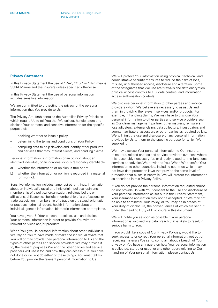#### <span id="page-5-0"></span>**Privacy Statement**

In this Privacy Statement the use of "We", "Our" or "Us" means SURA Marine and the Insurers unless specified otherwise.

In this Privacy Statement the use of personal information includes sensitive information.

We are committed to protecting the privacy of the personal information that You provide to Us.

The Privacy Act 1988 contains the Australian Privacy Principles which require Us to tell You that We collect, handle, store and disclose Your personal and sensitive information for the specific purpose of:

- deciding whether to issue a policy,
- determining the terms and conditions of Your Policy,
- compiling data to help develop and identify other products and services that may interest clients, and handling claims.

Personal information is information or an opinion about an identified individual, or an individual who is reasonably identifiable:

- a) whether the information or opinion is true or not;
- b) whether the information or opinion is recorded in a material form or not.

Sensitive information includes, amongst other things, information about an individual's racial or ethnic origin, political opinions, membership of a political organisation, religious beliefs or affiliations, philosophical beliefs, membership of a professional or trade association, membership of a trade union, sexual orientation or practices, criminal record, health information about an individual, genetic information, biometric information or templates.

You have given Us Your consent to collect, use and disclose Your personal information in order to provide You with the relevant services and/or products.

When You give Us personal information about other individuals, We rely on You to have made or make the individual aware that You will or may provide their personal information to Us and the types of other parties and service providers We may provide it to, the relevant purposes We and the other parties and service providers will use it for, and how they can access it. If You have not done or will not do either of these things, You must tell Us before You provide the relevant personal information to Us.

We will protect Your information using physical, technical, and administrative security measures to reduce the risks of loss, misuse, unauthorised access, disclosure and alteration. Some of the safeguards that We use are firewalls and data encryption, physical access controls to Our data centres, and information access authorisation controls.

We disclose personal information to other parties and service providers whom We believe are necessary to assist Us and them in providing the relevant services and/or products. For example, in handling claims, We may have to disclose Your personal information to other parties and service providers such as Our claim management partner, other insurers, reinsurers, loss adjusters, external claims data collectors, investigators and agents, facilitators, assessors or other parties as required by law. We will limit the use and disclosure of any personal information provided by Us to them to the specific purpose for which We supplied it.

We may disclose Your personal information to Our insurers, reinsurers, related entities and service providers overseas where it is reasonably necessary for, or directly related to, the functions, services or activities We provide to You. When We transfer Your information to other countries, including countries which may not have data protection laws that provide the same level of protection that exists in Australia, We will protect the information as described in this Privacy Policy.

If You do not provide the personal information requested and/or do not provide Us with Your consent to the use and disclosure of Your personal information as set out in this Privacy Statement, Your insurance application may not be accepted, or We may not be able to administer Your Policy, or You may be in breach of Your duty of disclosure, the consequences of which are set out under the heading Duty of Disclosure in this document.

We will notify you as soon as possible if Your personal information is involved in a data breach that is likely to result in serious harm to You.

If You would like a copy of Our Privacy Policies, would like to seek access to or correct Your personal information, opt out of receiving materials We send, complain about a breach of Your privacy or You have any query on how Your personal information is collected, stored or used, or any other query relating to Our handling of Your personal information, please contact Us.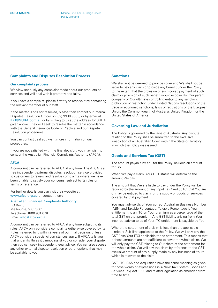#### <span id="page-6-0"></span>**Complaints and Disputes Resolution Process**

#### **Our complaints process**

We view seriously any complaint made about our products or services and will deal with it promptly and fairly.

If you have a complaint, please first try to resolve it by contacting the relevant member of our staff.

If the matter is still not resolved, please then contact our Internal Disputes Resolution Officer on (02) 9930 9500, or by email at [IDR@SURA.com.au](mailto:IDR%40SURA.com.au?subject=) or by writing to us at the address for SURA given above. They will seek to resolve the matter in accordance with the General Insurance Code of Practice and our Dispute Resolution procedures.

You can contact us if you want more information on our procedures.

If you are not satisfied with the final decision, you may wish to contact the Australian Financial Complaints Authority (AFCA).

#### **AFCA**

A complaint can be referred to AFCA at any time. The AFCA is a free independent external disputes resolution service provided to customers to review and resolve complaints where we have been unable to satisfy your concerns, subject to its rules or terms of reference.

For further details you can visit their website at [www.afca.org.au](http://www.afca.org.au) or contact them:

Australian Financial Complaints Authority PO Box 3 Melbourne, VIC, 3001 Telephone: 1800 931 678

Email: [info@afca.org.au](mailto:info%40afca.org.au?subject=)

A complaint can be referred to AFCA at any time subject to its rules. AFCA only considers complaints (otherwise covered by its Rules) referred to it within 2 years of our final decision, unless AFCA considers special circumstances apply. If AFCA tells you that under its Rules it cannot assist you or consider your dispute, then you can seek independent legal advice. You can also access any other external dispute resolution or other options that may be available to you.

#### **Sanctions**

We shall not be deemed to provide cover and We shall not be liable to pay any claim or provide any benefit under the Policy to the extent that the provision of such cover, payment of such claim or provision of such benefit would expose Us, Our parent company or Our ultimate controlling entity to any sanction, prohibition or restriction under United Nations resolutions or the trade or economic sanctions, laws or regulations of the European Union, the Commonwealth of Australia, United Kingdom or the United States of America.

#### **Governing Law and Jurisdiction**

The Policy is governed by the laws of Australia. Any dispute relating to the Policy shall be submitted to the exclusive jurisdiction of an Australian Court within the State or Territory in which the Policy was issued.

#### **Goods and Services Tax (GST)**

The amount payable by You for the Policy includes an amount for GST.

When We pay a claim, Your GST status will determine the amount We pay.

The amount that We are liable to pay under the Policy will be reduced by the amount of any Input Tax Credit (ITC) that You are or may be entitled to claim for the supply of goods or services covered by that payment.

You must advise Us of Your correct Australian Business Number (ABN) and Taxable Percentage. Taxable Percentage is Your entitlement to an ITC on Your premium as a percentage of the total GST on that premium. Any GST liability arising from Your incorrect advice to us of Your ITC entitlement is payable by You.

Where the settlement of a claim is less than the applicable Limits or Sub-limit applicable to the Policy, We will only pay the GST (less Your ITC) applicable to the settlement. This means that if these amounts are not sufficient to cover the whole claim, We will only pay the GST relating to Our share of the settlement for the whole claim. We will pay the claim by reference to the GST exclusive amount of any supply made by any business of Yours which is relevant to the claim.

GST, ITC, BAS and Acquisition have the same meaning as given to those words or expressions in A New Tax System (Goods and Services Tax) Act 1999 and related legislation as amended from time to time.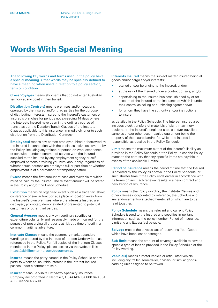## <span id="page-7-0"></span>**Words With Special Meaning**

The following key words and terms used in the policy have a special meaning. Other words may be specially defined to have a meaning when used in relation to a policy section, term or condition.

**Cross Voyages** means shipments that do not enter Australian territory at any point in their transit.

**Distribution Centre(s)** means premises and/or locations operated by the Insured and/or third parties for the purpose of distributing Interests Insured to the Insured's customers or Insured's branches for periods not exceeding 14 days where the Interests Insured have been in the ordinary course of transit, as per the Duration Transit Clauses of the Institute Clauses applicable to this insurance, immediately prior to such distribution from the Distribution Centre(s).

**Employee(s)** means any person employed, hired or borrowed by the Insured in connection with the business activities covered by the Policy, including any trainee or person on work experience, or consultant under a contract of service with the Insured or supplied to the Insured by any employment agency or selfemployed persons providing you with labour only; regardless of whether such persons are employed full or part-time or whether employment is of a permanent or temporary nature.

**Excess** means the first amount of each and every claim which must be paid by the Insured. The relevant amount will be stated in the Policy and/or the Policy Schedule.

**Exhibition** means an organized event such as a trade fair, show, conference or similar function at a place or location away from the Insured's own premises where the Interests Insured are displayed, promoted, demonstrated or presented to potential customers or other third parties.

**General Average** means any extraordinary sacrifice or expenditure voluntarily and reasonably made or incurred for the purpose of preserving all property at risk at a time of peril in a common maritime adventure.

**Institute Clauses** means the customary market standard wordings prepared by the Institute of London Underwriters as referenced in the Policy. For full copies of the Institute Clauses mentioned in this Policy, please access via the website link: [https://abhillermarine.com/documents/.](https://abhillermarine.com/documents/)

**Insured** means the party named in the Policy Schedule or any party to whom an insurable interest in the Interest Insured passes under a contract of sale.

**Insurer** means Berkshire Hathaway Specialty Insurance Company (Incorporated in Nebraska, USA) ABN 84 600 643 034, AFS Licence 466713.

**Interests Insured** means the subject matter insured being all goods and/or cargo and/or interests:

- owned and/or belonging to the Insured; and/or
- at the risk of the Insured under a contract of sale; and/or
- appertaining to the Insured business, shipped by or for account of the Insured or the insurance of which is under their control as selling or purchasing agent; and/or
- for whom they have the authority and/or instructions to insure,

as detailed in the Policy Schedule. The Interest Insured also includes stock transfers of materials of plant, machinery, equipment, the Insured's engineer's tools and/or travellers' samples and/or other accompanied equipment being the property of the Insured and/or for which the Insured is responsible, as detailed in the Policy Schedule.

**Limit** means the maximum extent of the Insurer's liability as provided in the Policy Schedule or the Policy unless the Policy states to the contrary that any specific items are payable in excess of the applicable Limit(s).

**Period of Insurance** means the period of time that the Insured is covered by the Policy as shown in the Policy Schedule, or such shorter time if the Policy ends earlier in accordance with its terms or law. Each renewal results in a new contract and new Period of Insurance.

**Policy** means the Policy wording, the Institute Clauses and other clauses incorporated by reference, the Schedule and any endorsement(s) attached hereto, all of which are to be read together.

**Policy Schedule** means the relevant and current Policy Schedule issued to the Insured and specifies important information such as the policy number, Period of Insurance, Limit and any Excess(es) payable.

**Salvage** means the physical act of recovering Your Goods which have been lost or damaged.

**Sub-limit** means the amount of coverage available to cover a specific type of loss as provided in the Policy Schedule or the Policy wording.

**Vehicle(s)** means a motor vehicle or articulated vehicle, including any trailer, semi-trailer, chassis, or similar goodscarrying unit designed to be towed.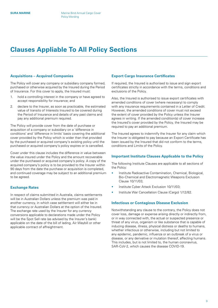## <span id="page-8-0"></span>**Clauses Appliable To All Policy Sections**

#### **Acquisitions – Acquired Companies**

The Policy will cover any company or subsidiary company formed, purchased or otherwise acquired by the Insured during the Period of Insurance. For this cover to apply, the Insured must:

- 1. hold a controlling interest in the company or have agreed to accept responsibility for insurance; and
- 2. declare to the Insurer, as soon as practicable, the estimated value of transits of Interests Insured to be covered during the Period of Insurance and details of any past claims and pay any additional premium required.

The Policy will provide cover from the date of purchase or acquisition of a company or subsidiary on a 'difference in conditions' and 'difference in limits' basis covering the additional cover provided by the Policy which is wider than that provided by the purchased or acquired company's existing policy until the purchased or acquired company's policy expires or is cancelled.

Cover under this clause includes the difference in value between the value insured under the Policy and the amount recoverable under the purchased or acquired company's policy. A copy of the acquired company's policy is to be provided to the Insurer within 90 days from the date the purchase or acquisition is completed, and continued coverage may be subject to an additional premium to be agreed.

#### **Exchange Rates**

In respect of claims submitted in Australia, claims settlements will be in Australian Dollars unless the premium was paid in another currency, in which case settlement will either be in that currency or Australian Dollars at the option of the Insured. The exchange rate used by the Insurer for any currency conversions applicable to declarations made under the Policy will be the Spot Sell rate (as advised by the Insurer's bank) applicable on the date of the bill of lading, Air Waybill or other applicable contract of affreightment.

#### **Export Cargo Insurance Certificates**

If required, the Insured is authorised to issue and sign export certificates strictly in accordance with the terms, conditions and exclusions of the Policy.

Also, the Insured is authorised to issue export certificates with amended conditions of cover (where necessary) to comply with any insurance requirements contained in a Letter of Credit. However, the amended conditions of cover must not exceed the extent of cover provided by the Policy unless the Insurer agrees in writing. If the amended condition(s) of cover increase the Insured's cover provided by the Policy, the Insured may be required to pay an additional premium.

The Insured agrees to indemnify the Insurer for any claim which the Insurer is obligated to pay because an Export Certificate has been issued by the Insured that did not conform to the terms, conditions and Limits of the Policy.

#### **Important Institute Clauses Applicable to the Policy**

The following Institute Clauses are applicable to all sections of the Policy:

- Institute Radioactive Contamination, Chemical, Biological, Bio-Chemical and Electromagnetic Weapons Exclusion Clause 10/11/03;
- Institute Cyber Attack Exclusion 10/11/03;
- Institute War Cancellation Clause (Cargo) 1/12/82.

#### **Infectious or Contagious Disease Exclusion**

Notwithstanding any clause to the contrary, the Policy does not cover loss, damage or expense arising directly or indirectly from, or in way connected with, the actual or suspected presence or threat of any virus, organism or like substance that is capable of inducing disease, illness, physical distress or deaths to humans, whether infectious or otherwise, including but not limited to any epidemic, pandemic, influenza or an outbreak of a virus or disease, or any derivative or mutation thereof, affecting humans. This includes, but is not limited to, the human coronavirus, SAR-CoV-2, which causes the disease COVID-19.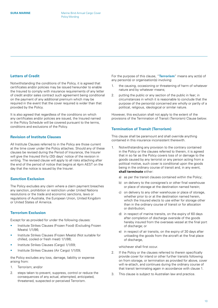#### <span id="page-9-0"></span>**Letters of Credit**

Notwithstanding the conditions of the Policy, it is agreed that certificates and/or policies may be issued hereunder to enable the Insured to comply with insurance requirements of any letter of credit and/or sales contract such agreement being conditional on the payment of any additional premium which may be required in the event that the cover required is wider than that provided by the Policy.

It is also agreed that regardless of the conditions on which any certificates and/or policies are issued, the Insured named in the Policy Schedule will be covered pursuant to the terms, conditions and exclusions of the Policy.

#### **Revision of Institute Clauses**

All Institute Clauses referred to in the Policy are those current at the time cover under the Policy attaches. Should any of these clauses be revised during the Period of Insurance, the Insurer will give the Insured thirty (30) days' notice of the revision in writing. The revised clause will apply to all risks attaching after the end of the period of notice that begins at 4pm AEST on the day that the notice is issued by the Insurer.

#### **Sanction Exclusion**

The Policy excludes any claim where a claim payment breaches any sanction, prohibition or restriction under United Nations resolutions or the trade and economic sanctions, laws or regulations of Australia, the European Union, United Kingdom or United States of America.

#### **Terrorism Exclusion**

Except for as provided for under the following clauses:

- Institute Strikes Clauses (Frozen Food) (Excluding Frozen Meats) 1/1/86;
- Institute Strikes Clauses (Frozen Meats) (Not suitable for chilled, cooled or fresh meat) 1/1/86;
- Institute Strikes Clauses (Cargo) 1/1/09;
- Institute Strikes Clauses (Air Cargo) 1/1/09;

the Policy excludes any loss, damage, liability or expense arising from:

- 1. Terrorism; and/or
- 2. steps taken to prevent, suppress, control or reduce the consequences of any actual, attempted, anticipated, threatened, suspected or perceived Terrorism.

For the purpose of this clause, "**Terrorism**" means any act(s) of any person(s) or organisation(s) involving:

- 1. the causing, occasioning or threatening of harm of whatever nature and by whatever means;
- 2. putting the public or any section of the public in fear; in circumstances in which it is reasonable to conclude that the purpose of the person(s) concerned are wholly or partly of a political, religious, ideological or similar nature.

However, this exclusion shall not apply to the extent of the provisions of the Termination of Transit (Terrorism) Clause below.

#### **Termination of Transit (Terrorism)**

This clause shall be paramount and shall override anything contained in this insurance inconsistent therewith.

- 1. Notwithstanding any provision to the contrary contained in the Policy or the clauses referred to therein, it is agreed that in so far as the Policy covers loss of or damage to the goods caused by any terrorist or any person acting from a political motive, such cover is conditional upon the goods being in the ordinary course of transit and, in any event, **shall terminate** either:
	- a) as per the transit clauses contained within the Policy;
	- b) on delivery to the consignee's or other final warehouse or place of storage at the destination named herein;
	- c) on delivery to any other warehouse or place of storage, whether prior to or at the destination named herein, which the Insured elects to use either for storage other than in the ordinary course of transit or for allocation or distribution;
	- d) in respect of marine transits, on the expiry of 60 days after completion of discharge overside of the goods hereby insured from the overseas vessel at the final port of discharge; or
	- e) in respect of air transits, on the expiry of 30 days after unloading the goods from the aircraft at the final place of discharge.

whichever shall first occur.

- 2. If the Policy or the clauses referred to therein specifically provide cover for inland or other further transits following on from storage, or termination as provided for above, cover will re-attach, and continues during the ordinary course of that transit terminating again in accordance with clause 1.
- 3. This clause is subject to Australian law and practice.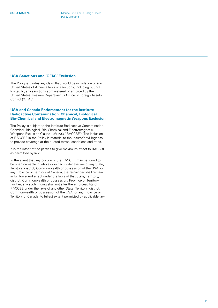#### <span id="page-10-0"></span>**USA Sanctions and 'OFAC' Exclusion**

The Policy excludes any claim that would be in violation of any United States of America laws or sanctions, including but not limited to, any sanctions administered or enforced by the United States Treasury Department's Office of Foreign Assets Control ('OFAC').

#### **USA and Canada Endorsement for the Institute Radioactive Contamination, Chemical, Biological, Bio-Chemical and Electromagnetic Weapons Exclusion**

The Policy is subject to the Institute Radioactive Contamination, Chemical, Biological, Bio-Chemical and Electromagnetic Weapons Exclusion Clause 10/11/03 ('RACCBE'). The inclusion of RACCBE in the Policy is material to the Insurer's willingness to provide coverage at the quoted terms, conditions and rates.

It is the intent of the parties to give maximum effect to RACCBE as permitted by law.

In the event that any portion of the RACCBE may be found to be unenforceable in whole or in part under the law of any State, Territory, district, Commonwealth or possession of the USA, or any Province or Territory of Canada, the remainder shall remain in full force and effect under the laws of that State, Territory, district, Commonwealth or possession, Province or Territory. Further, any such finding shall not alter the enforceability of RACCBE under the laws of any other State, Territory, district, Commonwealth or possession of the USA, or any Province or Territory of Canada, to fullest extent permitted by applicable law.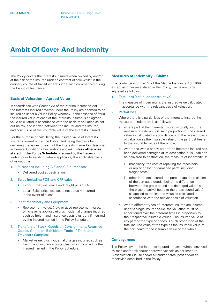## <span id="page-11-0"></span>**Ambit Of Cover And Indemnity**

The Policy covers the Interests Insured when owned by and/or at the risk of the Insured under a contract of sale whilst in the ordinary course of transit where such transit commences during the Period of Insurance.

#### **Basis of Valuation – Agreed Value**

In accordance with Section 33 of the Marine Insurance Act 1909 the Interests Insured covered under the Policy are deemed to be insured as under a Valued Policy whereby, in the absence of fraud, the insured value of each of the Interests Insured is an agreed value calculated in accordance with the basis of valuation as set out below, and is fixed between the Insurer and the Insured, and conclusive of the insurable value of the Interests Insured.

For the purpose of calculating the insured value of Interests Insured covered under the Policy (and being the basis for declaring the values of each of the Interests Insured as described in General Conditions Declarations above), **unless otherwise stated in the Policy Schedule** or agreed by the Insurer in writing prior to sending, where applicable, the applicable basis of valuation is:

- 1. Purchases including CIF and CIP purchases:
	- Delivered cost at destination.
- 2. Sales including FOB and CFR sales:
	- Export: Cost, insurance and freight plus 10%
	- Local: Sales price less costs not actually incurred in the event of a loss
- 3. Plant Machinery and Equipment
	- Replacement value, (new or used replacement value, whichever is applicable) plus incidental charges incurred such as freight and insurance costs plus duty if incurred by the Insured named in the Policy Schedule.

#### 4. Transfers of Stock, Goods on Consignment, Returned Goods, Goods on Exhibition, Tools of Trade and Travellers Samples:

• Market value, plus incidental charges incurred such as freight and insurance costs plus duty if incurred by the Insured named in the Policy Schedule.

#### **Measures of Indemnity – Claims**

In accordance with Part VI of the Marine Insurance Act 1909. except as otherwise stated in the Policy, claims are to be adjusted as follows:

#### 1. Total loss (actual or constructive)

The measure of indemnity is the insured value calculated in accordance with the relevant basis of valuation.

#### 2. Partial loss

Where there is a partial loss of the Interests Insured the measure of indemnity is as follows:

- a) where part of the Interests Insured is totally lost, the measure of indemnity is such proportion of the insured value as calculated in accordance with the relevant basis of valuation as the insurable value of the part lost bears to the insurable value of the whole;
- b) where the whole or any part of the Interests Insured has been delivered damaged at its destination or is unable to be delivered to destination, the measure of indemnity is:
	- machinery: the cost of repairing the machinery or replacing lost or damaged parts including freight costs;
	- ii) other Interests Insured: the percentage depreciation of the damaged goods (being the difference between the gross sound and damaged values at the place of arrival bears to the gross sound value) as applied to the insured value as calculated in accordance with the relevant basis of valuation.
- c) where different types of Interests Insured are insured under a single insured value, the valuation must be apportioned over the different types in proportion to their respective insurable values. The insured value of any part of the type of goods is such proportion of the total insured value of the type as the insurable value of the part bears to the insurable value of the whole.

#### **Conveyances**

The Policy covers the Interests Insured in transit when conveyed by road and/or rail and/or approved vessels as per Institute Classification Clause and/or air and/or parcel post and/or as otherwise described in the Policy.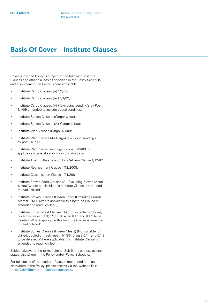### <span id="page-12-0"></span>**Basis Of Cover – Institute Clauses**

Cover under the Policy is subject to the following Institute Clauses and other clauses as specified in the Policy Schedule and elsewhere in the Policy where applicable:

- Institute Cargo Clauses (A) 1/1/09;
- Institute Cargo Clauses (Air) 1/1/09;
- Institute Cargo Clauses (Air) (excluding sending's by Post) 1/1/09 amended to include postal sendings;
- Institute Strikes Clauses (Cargo) 1/1/09;
- Institute Strikes Clauses (Air Cargo) 1/1/09;
- Institute War Clauses (Cargo) 1/1/09;
- Institute War Clauses (Air Cargo) (excluding sendings by post) 1/1/09;
- Institute War Clause (sendings by post) 1/3/09 not applicable to postal sendings within Australia;
- Institute Theft, Pilferage and Non-Delivery Clause 1/12/82;
- Institute Replacement Clause 1/12/2008;
- Institute Classification Clause 1/01/2001;
- Institute Frozen Food Clauses (A) (Excluding Frozen Meat) 1/1/86 [where applicable this Institute Clause is amended to read "chilled"];
- Institute Strikes Clauses (Frozen Food) (Excluding Frozen Meats) 1/1/86 [where applicable this Institute Clause is amended to read "chilled"];
- Institute Frozen Meat Clauses (A) (not suitable for chilled, cooled or fresh meat) 1/1/86 [Clause 8.1.1 and 8.1.3 to be deleted. Where applicable this Institute Clause is amended to read "chilled"];
- Institute Strikes Clauses (Frozen Meats) (Not suitable for chilled, cooled or fresh meat) 1/1/86 [Clause 5.1.1 and 5.1.3 to be deleted. Where applicable this Institute Clause is amended to read "chilled"].

Subject always to the terms, Limits, Sub-limits and exclusions stated elsewhere in the Policy and/or Policy Schedule.

For full copies of the Institute Clauses mentioned here and elsewhere in the Policy, please access via the website link: <https://abhillermarine.com/documents/.>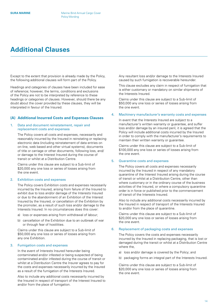## <span id="page-13-0"></span>**Additional Clauses**

Except to the extent that provision is already made by the Policy, the following additional clauses will form part of the Policy.

Headings and categories of clauses have been included for ease of reference; however, the terms, conditions and exclusions of the Policy are not to be interpreted by reference to these headings or categories of clauses. However, should there be any doubt about the cover provided by these clauses, they will be interpreted in favour of the Insured.

#### **(A) Additional Incurred Costs and Expenses Clauses**

#### 1. Data and document reinstatement, repair and replacement costs and expenses

The Policy covers all costs and expenses, necessarily and reasonably incurred by the Insured in reinstating or replacing electronic data (including reinstatement of data entries on on-line, web based and other virtual systems), documents of title or carriage or other documents, following loss, and/ or damage to the Interest Insured during the course of transit or whilst at a Distribution Centre.

Claims under this clause are subject to a Sub-limit of \$20,000 any one loss or series of losses arising from the one event.

#### 2. Exhibition costs and expenses

The Policy covers Exhibition costs and expenses necessarily incurred by the Insured, arising from failure of the Insured to exhibit due to loss and/or damage of the Interests Insured or due to the abandonment of an Exhibition of the Interest Insured by the Insured, or cancellation of the Exhibition by the promoter, as a result of such loss and/or damage to the Interests Insured. In no circumstances does this cover:

- a) loss or expenses arising from withdrawal of labour;
- b) cancellation of the Exhibition due to an outbreak of war or through fear of hostilities.

Claims under this clause are subject to a Sub-limit of \$50,000 any one loss or series of losses arising from any one Exhibition.

#### 3. Fumigation costs and expenses

In the event of Interests Insured hereunder being contaminated and/or infested or being suspected of being contaminated and/or infested during the course of transit or whilst at a Distribution Centre the Insurer agrees to pay for the costs and expenses necessarily incurred by the Insured as a result of the fumigation of the Interests Insured.

Also to include any additional costs necessarily incurred by the Insured in respect of transport of the Interest Insured to and/or from the place of fumigation.

Any resultant loss and/or damage to the Interests Insured caused by such fumigation is recoverable hereunder.

This clause excludes any claim in respect of fumigation that is either customary or mandatory on similar shipments of the Interests Insured.

Claims under this clause are subject to a Sub-limit of \$50,000 any one loss or series of losses arising from the one event.

#### 4. Machinery manufacturer's warranty costs and expenses

In event that the Interests Insured are subject to a manufacturer's written warranty or guarantee, and suffer loss and/or damage by an insured peril, it is agreed that the Policy will include additional costs incurred by the Insured in order to comply with the manufacturer's requirements to maintain their written warranty or guarantee.

Claims under this clause are subject to a Sub-limit of \$100,000 any one loss or series of losses arising from the one event.

#### 5. Quarantine costs and expenses

The Policy covers all costs and expenses necessarily incurred by the Insured in respect of any mandatory quarantine of the Interest Insured arising during the course of transit or whilst at a Distribution Centre, other than where customary or in the ordinary course of the business activities of the Insured, or where a compulsory quarantine order is in force or published prior to the commencement of transit of the Interests Insured.

Also to include any additional costs necessarily incurred by the Insured in respect of transport of the Interests Insured to and/or from the place of quarantine.

Claims under this clause are subject to a Sub-limit of \$20,000 any one loss or series of losses arising from the one event.

#### 6. Replacement of packaging costs and expenses

The Policy covers the costs and expenses necessarily incurred by the Insured in replacing packaging, that is lost or damaged during the transit or whilst at a Distribution Centre where the,

- a) loss and/or damage is covered by the Policy; and
- b) packaging forms an integral part of the Interests Insured.

Claims under this clause are subject to a Sub-limit of \$20,000 any one loss or series of losses arising from the one event.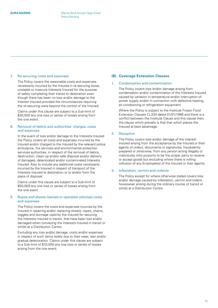#### <span id="page-14-0"></span>7. Re-securing costs and expenses

The Policy covers the reasonable costs and expenses necessarily incurred by the Insured in re-securing loose, unstable or insecure Interests Insured for the purpose of safely completing their transit to destination even though there has been no loss and/or damage to the Interest Insured provided the circumstances requiring the re-securing were beyond the control of the Insured.

Claims under this clause are subject to a Sub-limit of \$20,000 any one loss or series of losses arising from the one event.

#### 8. Removal of debris and authorities' charges, costs and expenses

In the event of loss and/or damage to the Interests Insured the Policy covers all costs and expenses incurred by the Insured and/or charged to the Insured by the relevant police, ambulance, fire services and environmental protection services authorities, in respect of the removal of debris, destruction, clean-up and/or safe disposal and/or delivery of damaged, deteriorated and/or contaminated Interests Insured. Also to include any additional costs necessarily incurred by the Insured in respect of transport of the Interests Insured to destination or to and/or from the place of disposal.

Claims under this clause are subject to a Sub-limit of \$50,000 any one loss or series of losses arising from the one event.

#### 9. Ropes and sheets (owned or operated vehicles) costs and expenses

The Policy covers the costs and expenses incurred by the Insured in repairing and/or replacing sheets, ropes, chains, toggles and dunnage used by the Insured for securing the Interests Insured in transit, that have been lost and/or damaged when conveying the Interests Insured in transit or whilst at a Distribution Centre.

Excluding any loss and/or damage, costs and/or expenses in respect of such items solely due to their wear, tear and/or gradual deterioration. Claims under this clause are subject to a Sub-limit of \$10,000 any one loss or series of losses arising from the one event.

#### **(B) Coverage Extension Clauses**

#### 1. Condensation and contamination

The Policy covers loss and/or damage arising from condensation and/or contamination of the Interests Insured caused by variation in temperature and/or interruption of power supply and/or in connection with defective heating, air-conditioning or refrigeration equipment.

Where the Policy is subject to the Institute Frozen Food Extension Clauses CL334 dated 01/01/1986 and there is a conflict between the Institute Clause and this clause then the clause which prevails is that that which places the Insured at best advantage.

#### 2. Deception

The Policy covers loss and/or damage of the Interest Insured arising from the acceptance by the Insured or their agents of orders, documents or signatures, fraudulently prepared or otherwise, from any person acting illegally or maliciously who purports to be the proper party to receive or accept goods but excluding where there is willing collusion of any Employee(s) of the Insured or their agents.

#### 3. Infestation, vermin and rodents

The Policy except for where otherwise stated covers loss and/or damage caused by infestation, vermin and rodent, howsoever arising during the ordinary course of transit or whilst at a Distribution Centre.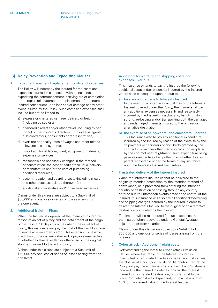#### <span id="page-15-0"></span>**(C) Delay Prevention and Expediting Clauses**

#### 1. Expedited repair and replacement costs and expenses

The Policy will indemnify the Insured for the costs and expenses incurred in connection with or incidental to expediting the commencement, carrying out or completion of the repair, reinstatement or replacement of the Interests Insured consequent upon loss and/or damage or any other event insured by the Policy. Such costs and expenses shall include but not be limited to:

- a) express or chartered carriage, delivery or freight (including by sea or air);
- b) chartered aircraft and/or other travel (including by sea or air) of the Insured's directors, Employee(s), agents, sub-contractors, consultants or representatives;
- c) overtime or penalty rates of wages and other related allowances and payments;
- d) hire of additional labour, plant, equipment, materials, expertise or services;
- e) reasonable and necessary changes in the method of construction, the cost of earlier than usual delivery or manufacture and/or the cost of purchasing additional resources;
- f) accommodation and boarding costs (including meals and other costs associated therewith); and
- g) additional administrative and/or overhead expenses.

Claims under this clause are subject to a Sub-limit of \$50,000 any one loss or series of losses arising from the one event.

#### 2. Additional freight – Piracy

When the Insured is deprived of the Interests Insured by reason of an act of piracy and the detainment of the cargo is in excess of 30 days from the date of the initial act of piracy, this insurance will pay the cost of the freight incurred to source a replacement cargo. This extension is payable in addition to the insured value and is payable irrespective of whether a claim is settled or otherwise on the original shipment subject to the act of piracy.

Claims under this clause are subject to a Sub-limit of \$50,000 any one loss or series of losses arising from the one event.

#### 3. Additional forwarding and shipping costs and expenses – Various

This insurance extends to pay the Insured the following additional costs and/or expenses incurred by the Insured where arise consequent upon, or due to:

#### a) loss and/or damage to Interests Insured

In the event of a potential or actual loss of the Interests Insured covered under the Policy, the Insurer shall pay any additional expenses necessarily and reasonably incurred by the Insured in discharging, handling, storing, sorting, re-loading and/or transporting both the damaged and undamaged Interests Insured to the original or alternative destination.

b) the exercise of shipowners' and charterers' liberties This Insurance also to pay any additional expenditure incurred by the Insured by reason of the exercise by the shipowners or charterers of any liberty granted by the contract in a manner other than originally contemplated by the contract of affreightment, such expenditure being payable irrespective of any other loss whether total or partial recoverable under the terms of any insurance upon the Interests Insured themselves.

#### 4. Frustrated delivery of the Interest Insured

When the Interests Insured cannot be delivered to the originally intended destination by the intended method of conveyance, or is prevented from entering the intended country of destination or passing through any country enroute due to unforeseen events beyond the control of the Insured, this insurance will also pay all additional forwarding and shipping charges incurred by the Insured in order to deliver the Interests Insured to the original or an alternative destination nominated by the Insured.

The Insurer will be reimbursed for such expenses by the Insured when recovered under a General Average adjustment or from a carrier.

Claims under this clause are subject to a Sub-limit of \$50,000 any one loss or series of losses arising from the one event.

#### 5. Cyber attack – Additional freight costs

Notwithstanding the Institute Cyber Attack Exclusion Clause, where the transit of the Interest Insured is interrupted or terminated due to a cyber-attack that causes the closure of a port, port facility or Distribution Centre the Policy will pay the additional costs of freight and/or storage incurred by the Insured in order to forward the Interest Insured to its intended destination, or to return it to the place from which it was dispatched, up to a maximum of 10% of the insured value of the Interest Insured.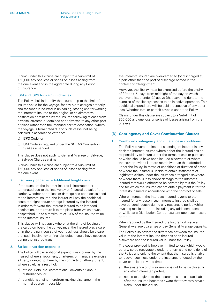<span id="page-16-0"></span>Claims under this clause are subject to a Sub-limit of \$50,000 any one loss or series of losses arising from the one event and in the aggregate during any Period of Insurance.

#### 6. ISM and ISPS forwarding charges

The Policy shall indemnify the Insured, up to the limit of the insured value for the voyage, for any extra charges properly and reasonably incurred in unloading, storing and forwarding the Interests Insured to the original or an alternative destination nominated by the Insured following release from a vessel arrested or detained at or diverted to any other port or place (other than the intended port of destination) where the voyage is terminated due to such vessel not being certified in accordance with the:

- a) ISPS Code; or
- b) ISM Code as required under the SOLAS Convention 1974 as amended.

This clause does not apply to General Average or Salvage, or Salvage Charges claims.

Claims under this clause are subject to a Sub-limit of \$50,000 any one loss or series of losses arising from the one event.

#### 7. Insolvency of carrier – Additional freight costs

If the transit of the Interest Insured is interrupted or terminated due to the insolvency or financial default of the carrier, whether or not loss or damage has been occasioned to the Interest Insured, the Insurer will pay the additional costs of freight and/or storage incurred by the Insured in order to forward the Interest Insured to its intended destination, or to return it to the place from which it was despatched, up to a maximum of 10% of the insured value of the Interest Insured.

This clause will not apply where, at the time of loading of the cargo on board the conveyance, the Insured was aware, or in the ordinary course of your business should be aware, that such insolvency or financial default could have occurred during the insured transit.

#### 8. Strikes diversion expenses

The Policy will pay additional expenditure incurred by the Insured where shipowners, charterers or managers exercise a liberty granted to them by the contracts of affreightment, where solely as a result of:

- a) strikes, riots, civil commotions, lockouts or labour disturbances; or
- b) conditions arising therefrom making discharge in the normal course impossible,

the Interests Insured are over-carried to (or discharged at) a port other than the port of discharge named in the contract of affreightment.

However, the liberty must be exercised before the expiry of fifteen (15) days from midnight of the day on which the event listed under (a) above (that gave the right to the exercise of the liberty) ceases to be in active operation. This additional expenditure will be paid irrespective of any other loss (whether total or partial) payable under the Policy.

Claims under this clause are subject to a Sub-limit of \$50,000 any one loss or series of losses arising from the one event.

#### **(D) Contingency and Cover Continuation Clauses**

#### 1. Combined contingency and difference in conditions

The Policy covers the Insured's contingent interest in any declared Interest Insured where either the Insured has no responsibility to insure under the terms of sale or purchase, or which should have been insured elsewhere or where the cover provided is more restrictive than that afforded under the Policy, in terms of conditions or duration of cover, or where the Insured is unable to obtain settlement of legitimate claims under the insurance arranged elsewhere, or where there is loss and/or damage to the Interests Insured that would otherwise be covered by this the Policy and for which the Insured cannot obtain payment in for the Interests Insured in accordance with the contract of sale.

Where interest in the Interests Insured reverts to the Insured for any reason, such Interests Insured shall be covered continuously during any reasonable period whilst awaiting resale or return, including any additional transit or whilst at a Distribution Centre resultant upon such resale or return.

When required by the Insured, the Insurer will issue a General Average guarantee or pay General Average deposits.

The Policy also covers the difference between the insured value of the Interest Insured that has been insured elsewhere and the insured value under the Policy.

The cover provided is however limited to loss which would otherwise be recoverable under the terms and conditions of the Policy and only to the extent that the Insured is unable to recover such loss under the insurance effected by the buyer or seller, provided that:

- a) the existence of this extension is not to be disclosed to any other interested parties;
- b) notice to be given to the Insurer as soon as practicable after the Insured becomes aware that they may have a claim under this clause;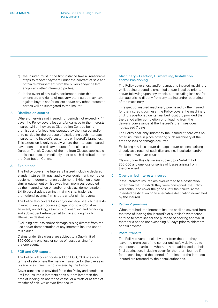- c) the Insured must in the first instance take all reasonable steps to recover payment under the contract of sale and obtain reimbursement from the buyers and/or sellers and/or any other interested parties;
- d) in the event of any claim settlement under this extension, any rights of recovery the Insured may have against buyers and/or sellers and/or any other interested parties will be subrogated to the Insurer.

#### 2. Distribution centres

Where otherwise not insured, for periods not exceeding 14 days, the Policy covers loss and/or damage to the Interests Insured whilst they are at Distribution Centres being premises and/or locations operated by the Insured and/or third parties for the purpose of distributing such Interests Insured to the Insured's customers or Insured's branches. This extension is only to apply where the Interests Insured have been in the ordinary course of transit, as per the Duration Transit Clauses of the Institute Clauses applicable to this insurance, immediately prior to such distribution from the Distribution Centre.

#### 3. Exhibitions

The Policy covers the Interests Insured including declared stands, fixtures, fittings, audio visual equipment, computer equipment, demonstration equipment, Exhibition and/or similar equipment whilst away from premises occupied by the Insured when on and/or at display, demonstration, Exhibition, display, seminar, training site, trade fair, promotional events, film shoots and/or similar events.

The Policy also covers loss and/or damage of such Interests Insured during temporary storage prior to and/or after an event, unpacking, assembly, dismantling and repacking and subsequent return transit to place of origin or to alternative destination.

Excluding any loss and/or damage arising directly from the use and/or demonstration of any Interests Insured under this clause.

Claims under this clause are subject to a Sub-limit of \$50,000 any one loss or series of losses arising from the one event.

#### 4. FOB and CFR exports

The Policy will cover goods sold on FOB, CFR or similar terms of sale where the marine insurance for the overseas voyage or air transit is not covered by the Policy.

Cover attaches as provided for in the Policy and continues until the Insured's Interests ends but not later than the time of loading on board the vessel or aircraft or at time of transfer of risk, whichever first occurs.

#### 5. Machinery – Erection, Dismantling, Installation and/or Positioning

The Policy covers loss and/or damage to insured machinery whilst being erected, dismantled and/or installed prior to and/or following upon any transit, but excluding loss and/or damage arising directly from any testing and/or operating of the machinery.

In respect of insured machinery purchased by the Insured for the Insured's own use, the Policy covers the machinery until it is positioned on its final bed location, provided that the period after completion of unloading from the delivery conveyance at the Insured's premises does not exceed 7 days.

The Policy shall only indemnify the Insured if there was no other insurance in place covering such machinery at the time the loss or damage occurred.

Excluding any loss and/or damage and/or expense arising directly as a result of such dismantling, installation and/or erection howsoever caused.

Claims under this clause are subject to a Sub-limit of \$50,000 any one loss or series of losses arising from the one event.

#### 6. Over-carried Interests Insured

If the Interests Insured are over-carried to a destination other than that to which they were consigned, the Policy will continue to cover the goods until their arrival at the intended destination or an alternative destination nominated by the Insured.

#### 7. Packers' premises

When required, the Interests Insured shall be covered from the time of leaving the Insured's or supplier's warehouse enroute to premises for the purpose of packing and whilst there for a period not exceeding 60 days prior to shipment or held covered.

#### 8. Postal transits

The Policy covers transits by post from the time they leave the premises of the sender until safely delivered to the person or parties to whom they are addressed at their final destination, including cover for the return journey if for reasons beyond the control of the Insured the Interests Insured are returned by the postal authorities.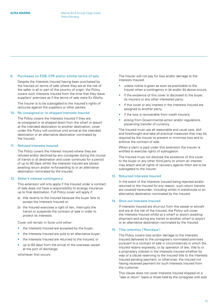#### 9. Purchases on FOB, CFR and/or similar terms of sale

Despite the Interests Insured having been purchased by the Insured on terms of sale where they are at the risk of the seller in all or part of the country of origin, the Policy covers such Interests Insured from the time that they leave suppliers' premises as if the terms of sale were Ex Works.

The Insurer is to be subrogated to the Insured's rights of recourse against the suppliers or other parties.

#### 10. Re-consigned or re-shipped Interests Insured

The Policy covers the Interests Insured if they are re-consigned or re-shipped direct from the wharf or airport at the intended destination to another destination, cover under the Policy will continue until arrival at the intended destination or an alternative destination nominated by the Insured.

#### 11. Refused Interests Insured

The Policy covers the Interest Insured where they are refused and/or declined by any consignee during the course of transit or at destination and cover continues for a period of up to 90 days whilst the Interests Insured are stored awaiting return and/or re-forwarding to or an alternative destination nominated by the Insured.

#### 12. Seller's interest contingency

This extension will only apply if the Insured under a contract of sale does not have a responsibility to arrange insurance up to final destination. Full Policy cover will apply if:

- a) title reverts to the Insured because the buyer fails to accept the Interests Insured or;
- b) the Insured exercises a right of lien, interrupts the transit or suspends the contract of sale in order to protect its Interests.

Cover will remain in force until either:

- the Interests Insured are accepted by the buyer:
- the Interests Insured are sold to an alternative buyer;
- the Interests Insured are returned to the Insured; or
- up to 60 days from the arrival of the overseas vessel at the port of discharge;

whichever first occurs.

The Insurer will not pay for loss and/or damage to the Interests Insured:

- unless notice is given as soon as practicable to the Insurer when a contingency in (a) and/or (b) above occurs;
- if the existence of this cover is disclosed to the buyer, its insurers or any other interested party;
- if this cover or any interest in the Interests Insured are assigned to another party;
- if the loss is recoverable from credit insurers;
- arising from Governmental action and/or regulations preventing transfer of currency.

The Insured must use all reasonable and usual care, skill and forethought and take all practical measures that may be required by the Insurer to prevent or minimise loss and to enforce the contract of sale.

When a claim is paid under this extension the Insurer is entitled to exercise rights of subrogation.

The Insured must not disclose the existence of this cover to the buyer or any other third party to whom an interest may attach and all rights of recovery against them are to be subrogated to the Insurer.

#### 13. Returned Interests Insured

In the event of the Interests Insured being rejected and/or returned to the Insured for any reason, such return transits are covered hereunder, including whilst in warehouse or an alternative destination nominated by the Insured.

#### 14. Shut-out Interests Insured

If Interests Insured are shut-out from the vessel or aircraft and are at the risk of the Insured, the Policy will cover the Interests Insured whilst at a wharf or airport awaiting shipment and during any transit to another wharf or airport or an alternative destination nominated by the Insured.

#### 15. Title retention ('Romalpa')

The Policy covers loss and/or damage to the Interests Insured delivered to the consignee's nominated premises pursuant to a contract of sale in circumstances in which the Insured retains expressly, or by operation of law, title to or a proprietary interest in the Interests Insured whether by way of a clause reserving to the Insured title to the Interests Insured pending payment, or otherwise, the Insured not having received payment for such Interests Insured from the customer.

This clause does not cover Interests Insured shipped on a "sale or return" basis or those held by the consignee until sold.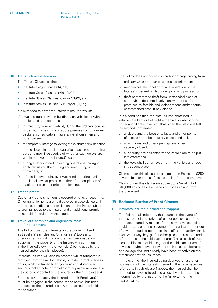#### <span id="page-19-0"></span>16. Transit clause extension

The Transit Clauses of the:

- Institute Cargo Clauses (A) 1/1/09;
- Institute Cargo Clauses (Air) 1/1/09;
- Institute Strikes Clauses (Cargo) 1/1/09; and
- Institute Strikes Clauses (Air Cargo) 1/1/09;

are extended to cover the Interests Insured whilst:

- a) awaiting transit, within buildings, on vehicles or within designated storage areas;
- b) in transit to, from and whilst, during the ordinary course of transit, in customs and at the premises of forwarders, packers, consolidators, haulers, warehousemen and other bailees;
- c) at temporary storage following strike and/or similar action;
- d) during delays in transit and/or after discharge at the final port or airport irrespective of whether such delays are within or beyond the insured's control;
- e) during all loading and unloading operations throughout each transit and the stuffing and un-stuffing of containers; or
- f) left loaded overnight, over weekend or during bank or public holidays at premises either after completion of loading for transit or prior to unloading.

#### 17. Transhipment

Customary trans-shipment is covered whenever occurring. Other transhipments are held covered in accordance with the terms, conditions and exclusions of the Policy subject to prompt notice to the Insurer and an additional premium being paid if required by the Insurer.

#### 18. Travellers' samples and engineers' tools and/or equipment

The Policy cover the Interests Insured when utilised as travellers' samples and/or engineers' tools and/ or equipment including computerised demonstration equipment the property of the Insured whilst in transit in the Insured's own motor vehicle(s) being used by the Insured and/or their Employee(s).

Interests Insured will also be covered whilst temporarily removed from the motor vehicle, outside normal business hours, whilst in transit to and/or from and stored in a securely locked hotel or motel room or private residence in the custody or control of the Insured or their Employee(s).

For this cover to apply the Insured or their Employee(s) must be engaged in the course of the normal business purposes of the Insured and any storage must be incidental to the transit.

The Policy does not cover loss and/or damage arising from:

- a) ordinary wear and tear or gradual deterioration;
- b) mechanical, electrical or manual operation of the Interests Insured whilst undergoing any process; or
- c) theft or attempted theft from unattended place of store which does not involve entry to or exit from the premises by forcible and violent means and/or actual or threatened assault or violence.

It is a condition that Interests Insured contained in vehicles are kept out of sight either in a locked boot or under a load area cover and that when the vehicle is left loaded and unattended:

- a) all doors and the boot or tailgate and other points of access are to be securely closed and locked;
- b) all windows and other openings are to be securely closed;
- c) all security devices fitted to the vehicle are to be put into effect; and
- d) the keys shall be removed from the vehicle and kept in a secure place.

Claims under this clause are subject to an Excess of \$250 any one loss or series of losses arising from the one event.

Claims under this clause are subject to a Sub-limit of \$10,000 any one loss or series of losses arising from the one event.

#### **(E) Reduced Burden of Proof Clauses**

#### 1. Interests Insured blocked and trapped

The Policy shall indemnify the Insured in the event of the Insured being deprived of use or possession of the Interests Insured by reason of the carrying vessel being unable to sail, or being prevented from sailing, from or out of any port, loading point, terminal, off-shore facility, canal, river, waterway, bay, gulf or other place or area (hereunder referred to as "the said place or area") as a result of the closure, blockade or blockage of the said place or area from any cause whatsoever, provided such closure, blockade or blockage shall not already have been effective on the attachment of this insurance.

In the event of the Insured being deprived of use of or possession of the Interests Insured in the circumstances referred to in sub-clause 1 above, the Insured shall be deemed to have suffered a total loss by seizure and be indemnified by the Insurer to the full extent of the insured value.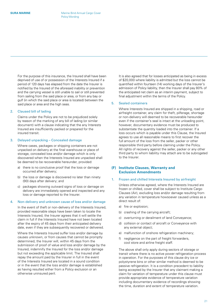<span id="page-20-0"></span>For the purpose of this insurance, the Insured shall have been deprived of use of or possession of the Interests Insured if a period of 120 days has elapsed from the date the Insurer is notified by the Insured of the aforesaid inability or prevention and the carrying vessel is still unable to sail or still prevented from sailing from the said place or area, or from any bay or gulf (in which the said place or area is located) between the said place or area and the high seas.

#### 2. Claused bill of lading

Claims under the Policy are not to be prejudiced solely by reason of the marking of any bill of lading (or similar document) with a clause indicating that the any Interests Insured are insufficiently packed or prepared for the insured transit.

#### 3. Delayed unpacking – Concealed damage

Where cases, packages or shipping containers are not unpacked on delivery at the final warehouse or place of storage, concealed loss and/or damage which is only discovered when the Interests Insured are unpacked shall be deemed to be recoverable hereunder, provided:

- a) there is no conclusive proof that the loss or damage occurred after delivery;
- b) the loss or damage is discovered no later than ninety (90) days after delivery; and
- c) packages showing outward signs of loss or damage on delivery are immediately opened and inspected and any loss or damage reported to the Insurer.

#### 4. Non-delivery and unknown cause of loss and/or damage

In the event of theft or non-delivery of the Interests Insured, provided reasonable steps have been taken to locate the Interests Insured, the Insurer agrees that it will settle the claim in full if the Interests Insured have not been located after the expiry of 45 days from their anticipated delivery date, even if they are subsequently recovered or delivered.

Where the Interests Insured suffer loss and/or damage by causes unknown, or from causes that cannot be promptly determined, the Insurer will, within 45 days from the submission of proof of value and loss and/or damage by the Insured, indemnify the Insured for the loss and/or damage but not exceeding the applicable limit. The Insured shall repay the amount paid by the Insurer in full in the event of the Interests Insured are located in a sound condition or in the event that the loss and/or damage is established as having resulted either from a Policy exclusion or an otherwise uninsured peril.

It is also agreed that for losses anticipated as being in excess of \$20,000 where liability is admitted but the loss cannot be quantified within fourteen (14) working days of the Insurer's admission of Policy liability, then the Insurer shall pay 80% of the anticipated net claim as an interim payment, subject to final adjustment within the terms of the Policy.

#### 5. Sealed containers

Where Interests Insured are shipped in a shipping, road or airfreight container, any claim for theft, pilferage, shortage or non-delivery will deemed to be recoverable hereunder even if the container's seal is intact at the unloading point, however, documentary evidence must be produced to substantiate the quantity loaded into the container. If a loss occurs which is payable under this Clause, the Insured agrees to use all reasonable means to first recover the full amount of the loss from the seller, packer or other responsible third party before claiming under the Policy. All rights of recovery against the seller, packer or any other third party to whom liability may attach are to be subrogated to the Insurer.

#### **(F) Institute Clauses, Warranty and Exclusion Amendments**

#### 1. Frozen and chilled Interests Insured by airfreight

Unless otherwise agreed, where the Interests Insured are frozen or chilled, cover shall be subject to Institute Cargo Clauses (Air), excluding loss and/or damage resulting from any variation in temperature howsoever caused unless as a direct result of:

- a) fire or explosion;
- b) crashing of the carrying aircraft;
- c) overturning or derailment of land Conveyance;
- d) collision or contact of aircraft or Conveyance with any external object;
- e) malfunction of onshore refrigeration machinery;
- f) negligence on the part of freight forwarders, cool store and airline freight staff.

The above shall only apply during sectors of storage or transit where there is no active power refrigeration process in operation. For the purposes of this clause dry ice or polystyrene bins or other similar method is deemed to be passive refrigeration. It is a condition precedent to liability being accepted by the Insurer that any claimant making a claim for variation of temperature under this clause must provide appropriate evidence of temperature variation including documentary evidence of recordings showing the time, duration and extent of temperature variation.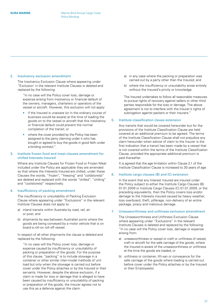#### 2. Insolvency exclusion amendment

The Insolvency Exclusion Clause where appearing under "Exclusion' in the relevant Institute Clauses is deleted and replaced by the following:

"In no case will the Policy cover loss, damage or expense arising from insolvency or financial default of the owners, managers, charterers or operators of the vessel or aircraft. However, this exclusion will not apply:

- if the Insured is unaware (or in the ordinary course of business would be aware) at the time of loading the goods on to the vessel or aircraft that this insolvency or financial default could prevent the normal completion of the transit; or
- where the cover provided by the Policy has been assigned to the party claiming under it who has bought or agreed to buy the goods in good faith under a binding contract."

#### 3. Institute frozen food and meat clauses amendment for chilled Interests Insured

Where any Institute Clauses for Frozen Food or Frozen Meat included under the Policy are applicable they are amended so that where the Interests Insured are chilled, under these Clauses the words, "frozen", "freezing" and "coldstore(s)" are deleted and replaced with the words "chilled", "chilling" and "coolstore(s)" respectively.

#### 4. Insufficiency of packing amendment

The insufficiency or unsuitability of Packing Exclusion Clause where appearing under "Exclusions" in the relevant Institute Clauses does not apply to:

- a) inland transits within Australia by road, rail, air or post; and
- b) shipments by sea between Australian ports where the goods are being conveyed by a motor vehicle that is on board a roll-on roll-off vessel.

In respect of all other shipments the clause is deleted and replaced by the following:

"In no case will the Policy cover loss, damage or expense caused by insufficiency or unsuitability of packing or preparation of the goods. For the purpose of this clause, "packing" is to include stowage in a container or other similar inter-modal methods of unit load but only when the stowage is carried out before cover under the Policy attaches or by the Insured or their servants. However, despite the above exclusion, if a claim is made for loss or damage that is alleged to have been caused by insufficiency or unsuitability of packing or preparation of the goods, the Insurer agrees not to use this as a defence against the claim:

- a) in any case where the packing or preparation was carried out by a party other than the Insured; and
- b) where the insufficiency or unsuitability arose entirely without the Insured's privity or knowledge.

The Insured undertakes to follow all reasonable measures to pursue rights of recovery against sellers or other third parties responsible for the loss or damage. The above agreement is not to interfere with the Insurer's rights of subrogation against packers or their insurers."

#### 5. Institute classification clause extension

Any transits that would be covered hereunder but for the provisions of the Institute Classification Clause are held covered at an additional premium to be agreed. The terms of the Institute Classification Clause shall not prejudice any claim hereunder when advice of claim to the Insurer is the first indication that a transit has been made by a vessel that is not covered within the terms of the Institute Classification Clause, provided the appropriate additional premium is paid thereafter.

It is agreed that the age limitation within Clause 2.1 of the Institute Classification Clause is increased to 30 years of age.

#### 6. Institute cargo clauses (B) and (C) extension

In the event that any Interest Insured are insured under the Policy subject to either the Institute Cargo Clauses (B) 01.01.2009 or Institute Cargo Clauses (C) 01.01.2009, or the preceding equivalents, then the Policy covers loss and/or damage to the Interests insured caused by heavy weather, loss overboard, theft, pilferage, non-delivery of an entire package, piracy and malicious damage.

#### 7. Unseaworthiness and unfitness exclusion amendment

The Unseaworthiness and Unfitness Exclusion Clause where appearing under "Exclusions" in the relevant Institute Clauses is deleted and replaced by the following: "In no case will the Policy cover loss, damage or expense arising from:

- a) unseaworthiness or vessel or craft or unfitness of vessel, craft or aircraft for the safe carriage of the goods, where the Insured is aware of the unseaworthiness or unfitness at the time the goods are loaded; or
- b) unfitness or container, lift-van or conveyance for the safe carriage of the goods where loading is carried out before cover under the Policy attaches or by the Insured or their Employee(s).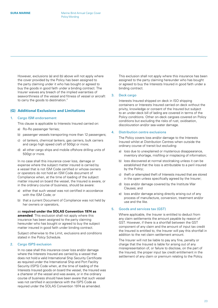<span id="page-22-0"></span>However, exclusions (a) and (b) above will not apply where the cover provided by the Policy has been assigned to the party claiming under it who has bought or agreed to buy the goods in good faith under a binding contract. The Insurer waives any breach of the implied warranties of seaworthiness of the vessel and fitness of vessel or aircraft to carry the goods to destination."

#### **(G) Additional Exclusions and Limitations**

#### 1. Cargo ISM endorsement

This clause is applicable to Interests Insured carried on:

- a) Ro-Ro passenger ferries;
- b) passenger vessels transporting more than 12 passengers;
- c) oil tankers, chemical tankers, gas carriers, bulk carriers and cargo high speed craft of 500gt or more;
- d) all other cargo ships and mobile offshore drilling units of 500gt or more.

In no case shall this insurance cover loss, damage or expense where the subject matter insured is carried by a vessel that is not ISM Code certified or whose owners or operators do not hold an ISM Code document of Compliance when, at the time of loading of the subject matter insured on board the vessel, the Insured is aware, or in the ordinary course of business, should be aware:

- a) either that such vessel was not certified in accordance with the ISM Code; or
- b) that a current Document of Compliance was not held by her owners or operators,

as **required under the SOLAS Convention 1974 as amended**. This exclusion shall not apply where this insurance has been assigned to the party claiming hereunder who has bought or agreed to buy the subject matter insured in good faith under binding contract.

Subject otherwise to the Limit, exclusions and conditions stated in the Policy Schedule.

#### 2. Cargo ISPS exclusion

In no case shall this insurance cover loss and/or damage where the Interests Insured are carried by a vessel that does not hold a valid International Ship Security Certificate as required under the International Ship and Port Facility Security (ISPS) Code when, at the time of loading of the Interests Insured goods on board the vessel, the Insured was a charterer of the vessel and was aware, or in the ordinary course of business should have been aware that such vessel was not certified in accordance with the ISPS Code as required under the SOLAS Convention 1974 as amended.

This exclusion shall not apply where this insurance has been assigned to the party claiming hereunder who has bought or agreed to buy the Interests Insured in good faith under a binding contract.

#### 3. Deck cargo

Interests Insured shipped on deck in ISO shipping containers or Interests Insured carried on deck without the privity, knowledge or consent of the Insured but subject to an under-deck bill of lading are covered in terms of the Policy conditions. Other on-deck cargoes covered on Policy conditions but excluding the risks of rust, oxidisation, discolouration and/or sea-water damage.

#### 4. Distribution centre exclusions

The Policy covers loss and/or damage to the Interests Insured whilst at Distribution Centres when outside the ordinary course of transit but excluding:

- a) loss due to unexplained or mysterious disappearance, inventory shortage, misfiling or misplacing of information;
- b) loss discovered at normal stocktaking unless it can be established that the loss is attributable to a peril insured by the Policy;
- c) theft or attempted theft of Interests insured that are stored in the open unless specifically agreed by the Insurer;
- d) loss and/or damage covered by the Institute War Clauses; and
- e) loss and/or damage arising directly arising out of any process of manufacture, conversion, treatment and/or use and the like.

#### 5. Goods and services tax (GST)

Where applicable, the Insurer is entitled to deduct from any claim settlements the amount payable by reason of GST. However, if there is a shortfall between the GST component of any claim and the amount of input tax credit the Insured is entitled to, the Insurer will pay this shortfall in addition to the net claim settlement amount.

The Insurer will not be liable to pay any fine, penalty or charge that the Insured is liable for arising out of any misrepresentation of, or failure to disclose, on the part of the Insured, the proper input tax credit entitlement in the settlement of any claim or premium relating to the Policy.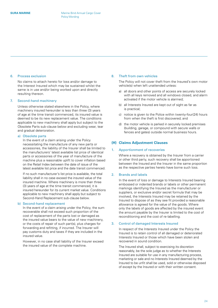#### <span id="page-23-0"></span>6. Process exclusion

No claims to attach hereto for loss and/or damage to the Interest Insured which may be sustained whilst the same is in use and/or being worked upon and directly resulting thereon.

#### 7. Second-hand machinery

Unless otherwise stated elsewhere in the Policy, where machinery insured hereunder is less than three (3) years of age at the time transit commenced, its insured value is deemed to be its new replacement value. The conditions applicable to new machinery shall apply but subject to the Obsolete Parts sub-clause below and excluding wear, tear and gradual deterioration.

#### a) Obsolete parts

In the event of a claim arising under the Policy necessitating the manufacture of any new parts or accessories, the liability of the Insurer shall be limited to the manufacturers' latest available list price of identical parts or accessories of the year of manufacture of the machine plus a reasonable uplift to cover inflation based on the Retail Index between the date of issue of the latest available list price and the date transit commenced.

If no such manufacturer's list price is available, the total liability shall in no case exceed the insured value of the insured machine. Where machinery is more than three (3) years of age at the time transit commenced, it is insured hereunder for its current market value. Conditions applicable to new machinery shall apply but subject to Second-Hand Replacement sub-clause below.

#### b) Second-hand replacement

In the event of a claim arising under the Policy, the sum recoverable shall not exceed such proportion of the cost of replacement of the parts lost or damaged as the insured value bears to the value of new machinery, or the costs of repair of such part(s), plus charges for forwarding and refitting, if incurred. The Insurer will pay customs duty and taxes if they are included in the insured value.

However, in no case shall liability of the Insurer exceed the insured value of the complete machine.

#### 8. Theft from own vehicles

The Policy will not cover theft from the Insured's own motor vehicle(s) when left unattended unless:

- a) all doors and other points of access are securely locked with all keys removed and all windows closed, and alarm activated if the motor vehicle is alarmed;
- b) all Interests Insured are kept out of sight as far as is practical;
- c) notice is given to the Police within twenty-four(24) hours from when the theft is first discovered; and
- d) the motor vehicle is parked in securely locked premises (building, garage, or compound with secure walls or fences and gates) outside normal business hours.

#### **(H) Claims Adjustment Clauses**

#### 1. Apportionment of recoveries

Where a recovery is obtained by the Insurer from a carrier or other third party, such recovery shall be apportioned between the Insured and the Insurer in the same proportion as the respective parties hereto have borne such loss.

#### 2. Brands and labels

In the event of loss or damage to Interests Insured bearing embossed or indented brands or labels or other permanent markings identifying the Insured as the manufacturer or suppliers, or exclusive and/or secret formula that may be involved, the Interests Insured may be retained by the Insured to dispose of as they see fit provided a reasonable allowance is agreed for the value of the goods. Where only the labels of goods are affected by the insured event the amount payable by the Insurer is limited to the cost of reconditioning and the cost of re-labelling.

#### 3. Control of damaged Interests Insured

In respect of the Interests Insured under the Policy the Insured is to retain control of all damaged or deteriorated Interests Insured or those which have been stolen and recovered in sound condition.

The Insured shall, subject to exercising its discretion reasonably, be the sole judge as to whether the Interests Insured are suitable for use in any manufacturing process, marketing or sale and no Interests Insured deemed by the Insured to be unfit shall be used, sold or otherwise disposed of except by the Insured or with their written consent.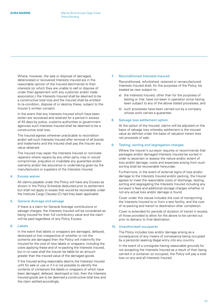Where, however, the sale or disposal of damaged, deteriorated or recovered Interests Insured are in the reasonable opinion of the Insured detrimental to their interests (or which they are unable to sell or dispose of under their agreement with any customer and/or trade association,) the Interests Insured shall be deemed to be a constructive total loss and the Insured shall be entitled to re-condition, dispose of or destroy these, subject to the Insurer's written consent.

In the event that any Interests Insured which have been stolen are recovered and retained for a period in excess of 45 days by police, customs authorities or government agencies such Interests Insured shall be deemed to be a constructive total loss.

The Insured agrees wherever practicable to recondition and/or sell such Interests Insured after removal of all brands and trademarks and the Insured shall pay the Insurer any value obtained.

The Insured may repair the Interests Insured or nominate repairers where repairs by any other party may or would compromise, prejudice or invalidate any guarantee and/or warranty and/or like assurance or undertaking given by the manufacturers or suppliers of the Interests Insured.

#### 4. Excess waiver

All claims payable under the Policy will have any Excess as shown in the Policy Schedule deducted prior to settlement but shall not apply to losses that would be recoverable under the Institute Cargo Clauses (C) had they been applicable.

#### 5. General Average and salvage

If there is a claim for General Average contributions or salvage charges, the Interests Insured will be considered as being insured for their full contributory value and the claim will be paid regardless of any Policy Excess.

#### 6. Labels

In the event that labels or wrappers are damaged, defaced, destroyed or lost irrespective of whether or not the contents are damaged then the Policy will indemnify the Insured for the cost of new labels or wrappers, including the costs applying these and of re-packing the Interests Insured, but in no case shall the Insurer be liable for an amount greater than the insured value of the damaged goods.

If the Insured acting reasonably deems the Interests Insured unfit for sale or use or if it is not possible to identify the contents of containers the labels or wrappers of which have been damaged, defaced, destroyed or lost, then the Interests Insured goods are to be deemed a constructive total loss and the claim settled accordingly.

#### 7. Reconditioned Interests Insured

Reconditioned, refurbished, restored or remanufactured Interests Insured shall, for the purposes of the Policy, be treated as new subject to:

- a) the Interests Insured, other than for the purposes of testing or trial, have not been in operation since having been subject to any of the above stated processes; and
- b) such processes have been carried out by a company whose work carries a guarantee.

#### 8. Salvage loss settlement option

At the option of the Insured, claims will be adjusted on the basis of salvage loss whereby settlement is the insured value as defined under the basis of valuation herein less net proceeds of sale.

#### 9. Testing, sorting and segregation charges

Where the Insurer's surveyor requires or recommends that packages and/or damaged Interests Insured be sorted in order to ascertain or assess the nature and/or extent of loss and/or damage, costs and expenses arising from such sorting shall be recoverable hereunder.

Furthermore, in the event of external signs of loss and/or damage to the Interests Insured and/or packing, the Insurer agrees to meet the reasonable costs of discharge, testing, sorting and segregating the Interests Insured including any surveyor's fees and additional storage charges whether or not any actual loss and/or damage is found.

Cover under this clause includes the cost of transporting the Interests Insured to or from a test facility, and the cost of re-packing and transit to destination after completion.

Cover is extended for periods of duration of transit in excess of those provided to allow for the above to be carried out prior to delivery to final destination.

#### 10. Unauthorised occupants

The Policy includes loss and/or damage arising as a consequence of any means of conveyance being occupied by a person(s) seeking illegal entry into any country.

In the event of a consignee having reasonable grounds for not accepting the Interests Insured as a result of their being carried in a container so occupied, the Policy will pay a total loss on any and all Interests Insured.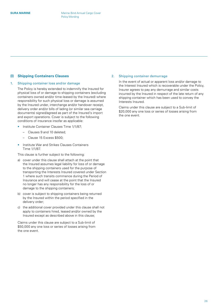#### <span id="page-25-0"></span>**(I) Shipping Containers Clauses**

#### 1. Shipping container loss and/or damage

The Policy is hereby extended to indemnify the Insured for physical loss of or damage to shipping containers (excluding containers owned and/or time-leased by the Insured) where responsibility for such physical loss or damage is assumed by the Insured under, interchange and/or handover receipt, delivery order and/or bills of lading (or similar sea carriage documents) signed/agreed as part of the Insured's import and export operations. Cover is subject to the following conditions of insurance insofar as applicable:

- Institute Container Clauses Time 1/1/87;
	- Clauses 9 and 10 deleted;
	- Clause 15 Excess \$500;
- Institute War and Strikes Clauses Containers Time 1/1/87.

This clause is further subject to the following:

- a) cover under this clause shall attach at the point that the Insured assumes legal liability for loss of or damage to the shipping containers used for the purpose of transporting the Interests Insured covered under Section 1 where such transits commence during the Period of Insurance and will cease at the point that the Insured no longer has any responsibility for the loss of or damage to the shipping containers;
- b) cover is subject to shipping containers being returned by the Insured within the period specified in the delivery order;
- c) the additional cover provided under this clause shall not apply to containers hired, leased and/or owned by the Insured except as described above in this clause;

Claims under this clause are subject to a Sub-limit of \$50,000 any one loss or series of losses arising from the one event.

#### 2. Shipping container demurrage

In the event of actual or apparent loss and/or damage to the Interest Insured which is recoverable under the Policy, Insurer agrees to pay any demurrage and similar costs incurred by the Insured in respect of the late return of any shipping container which has been used to convey the Interests Insured.

Claims under this clause are subject to a Sub-limit of \$20,000 any one loss or series of losses arising from the one event.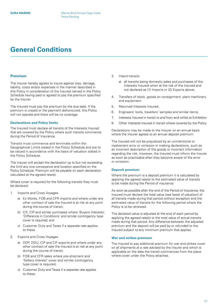## <span id="page-26-0"></span>**General Conditions**

#### **Premium**

The Insurer hereby agrees to insure against loss, damage, liability, costs and/or expenses in the manner described in this Policy in consideration of the Insured named in the Policy Schedule having paid or agreed to pay the premium specified by the Insurer.

The Insured must pay the premium by the due date. If the premium is unpaid or the payment dishonoured, this Policy will not operate and there will be no coverage.

#### **Declarations and Policy limits**

The Insured must declare all transits of the Interests Insured that are covered by the Policy where such transits commence during the Period of Insurance.

Transits must commence and terminate within the Geographical Limits stated in the Policy Schedule and are to be valued in accordance with the basis of valuation stated in the Policy Schedule.

The Insurer will accept the declaration up to but not exceeding the limit any one conveyance and location specified on the Policy Schedule. Premium will be payable on each declaration calculated at the agreed rate(s).

Where cover is required for the following transits they must be declared:

- 1. Imports and Cross Voyages
	- a) Ex Works, FOB and CFR imports and where under any other contract of sale the Insured is at risk at any point during the course of transit;
	- b) CIF, CIP and similar purchases where 'Buyers Interests', 'Difference in Conditions' and similar contingency type cover is required; and
	- c) Customer Duty and Taxes if a separate rate applies to these.
- 2. Exports and Cross Voyages
	- a) DDP, DDU, CIP and CIF exports and where under any other contract of sale the Insured is at risk at any point during the course of transit;
	- b) FOB and CFR sales where pre-shipment and 'Sellers Interest' cover and similar contingency type cover is required;
	- c) Customer Duty and Taxes if a separate rate applies to these.
- 3. Inland transits
	- a) all transits being domestic sales and purchases of the Interests Insured when at the risk of the Insured and not declared as (1) Imports or (2) Exports above;
- 4. Transfers of stock, goods on consignment, plant machinery and equipment.
- 5. Returned Interests Insured;
- 6. Engineers' tools, travellers' samples and similar items;
- 7. Interests Insured in transit to and from and whilst at Exhibition.
- 8. Other Interests Insured in transit where covered by the Policy.

Declarations may be made to the Insurer on an annual basis where the Insurer agrees to an annual deposit premium.

The Insured will not be prejudiced by an unintentional or inadvertent error or omission in making declarations, such as an incorrect description of the goods or incorrect information regarding the risk, however, the Insured must inform the Insurer as soon as practicable after they become aware of the error or omission.

#### **Deposit premium**

Where the premium is a deposit premium it is calculated by applying the agreed rate(s) to the estimated value of transits to be made during the Period of insurance.

As soon as possible after the end of the Period of Insurance, the Insured must declare the total value (see basis of valuation) of all transits made during that period without exception and the estimated value of transits for the following period where the Policy is to be renewed.

The declared value is adjusted at the end of each period by applying the agreed rate(s) to the total value of actual transits made during that period. Any difference between the adjusted premium and the deposit will be paid by or refunded to the Insured subject to any minimum premium that applies.

#### **War and strikes premium**

The Insured to pay additional premium for war and strikes cover on all shipments at a rate advised by the Insurer and which is applicable on the date the transit commences from the place where cover under the Policy attaches.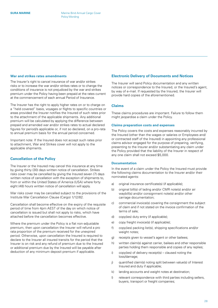#### <span id="page-27-0"></span>**War and strikes rates amendments**

The Insurer's right to cancel insurance of war and/or strikes risks or to increase the war and/or strikes rates or to change the conditions of insurance is not prejudiced by the war and strikes premium under the Policy having been prepaid at the rates current at the commencement of each annual Period of Insurance.

The Insurer has the right to apply higher rates on or to charge on a "held covered" basis, voyages or flights to specific countries or areas provided the Insurer notifies the Insured of such rates prior to the attachment of the applicable shipments. Any additional premium will be calculated by applying the difference between prepaid and amended war and/or strikes rates to actual declared figures for period/s applicable or, if not so declared, on a pro-rata to annual premium basis for the annual period concerned.

Important note: If the Insured does not accept such rates prior to attachment, War and Strikes cover will not apply to the applicable shipments.

#### **Cancellation of the Policy**

The Insurer or the Insured may cancel this insurance at any time by giving thirty (30) days written notice of cancellation. Strikes risks cover may be cancelled by giving the Insured seven (7) days written notice of cancellation with the exception of shipments to, from or within the United States of America (USA) where forty eight (48) hours written notice of cancellation will apply.

War risks cover may be cancelled subject to the provisions of the Institute War Cancellation Clause (Cargo) 1/12/82.

Cancellation shall become effective on the expiry of the requisite period of time from 4pm AEST of the day on which notice of cancellation is issued but shall not apply to risks, which have attached before the cancellation becomes effective.

Where the premium under the Policy is a flat non-adjustable premium, then upon cancellation the Insurer will refund a pro rata proportion of the premium received for the unexpired period. Otherwise, upon cancellation the Insured is required to declare to the Insurer all insured transits for the period that the Insurer is on risk and any refund of premium due to the Insured or additional premium due by the Insured will be payable after deduction of any minimum deposit premium if applicable.

#### **Electronic Delivery of Documents and Notices**

The Insurer will send Policy documentation and any written notices or correspondence to the Insured, or the Insured's agent, by way of e-mail. If requested by the Insured, the Insurer will provide hard copies of the aforementioned.

#### **Claims**

These claims procedures are important. Failure to follow them might jeopardise a claim under the Policy.

#### **Claims preparation costs and expenses**

The Policy covers the costs and expenses reasonably incurred by the Insured (other than the wages or salaries or Employees and/ or contracted staff of the Insured) in appointing any professional claims advisor engaged for the purpose of preparing, verifying, presenting to the Insurer and/or substantiating any claim under the Policy provided that the liability of the Insurer in respect of any one claim shall not exceed \$5,000.

#### **Documentation**

In the event of a claim under the Policy the Insured must provide the following claims documentation to the Insurer and/or their nominated agents:

- a) original insurance certificate(s) (if applicable);
- b) original bill(s) of lading and/or CMR note(s) and/or air waybill(s) and/or consignment note(s) and/or other carriage documentation;
- c) commercial invoice(s) covering the consignment the subject of claim and if not stated on the invoice confirmation of the terms of sale;
- d) copy(ies) duty entry (if applicable);
- e) copy freight invoice(s) (if applicable);
- f) copy(ies) packing list(s), shipping specifications and/or weight notes;
- g) receipts given to vessel's agent or other bailees;
- h) written claim(s) against carrier, bailees and other responsible parties holding them responsible and copies of any replies;
- i) copy(ies) of delivery receipt(s) claused noting the loss/damage:
- j) quantified claim(s) noting split between value(s) of Interest Insured and duty if applicable;
- k) landing accounts and weight notes at destination;
- l) relevant correspondence with third parties including sellers, buyers, transport or freight companies;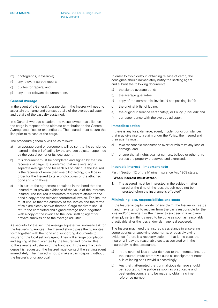- <span id="page-28-0"></span>m) photographs, if available;
- n) any relevant survey report;
- o) quotes for repairs; and
- p) any other relevant documentation.

#### **General Average**

In the event of a General Average claim, the Insurer will need to ascertain the name and contact details of the average adjuster and details of the casualty sustained.

In a General Average situation, the vessel owner has a lien on the cargo in respect of the ultimate contribution to the General Average sacrifices or expenditures. The Insured must secure this lien prior to release of the cargo.

The procedure generally will be as follows:

- a) an average bond or agreement will be sent to the consignee named in the bill of lading by the average adjuster appointed by the vessel owner or its local agent;
- b) this document must be completed and signed by the final receivers of cargo. It is preferred that receivers sign a separate average bond for each bill of lading. If the Insured is the receiver of more than one bill of lading, it will be in order for the Insured to take photocopies of the attached bond and sign those;
- c) it is part of the agreement contained in the bond that the Insured must provide evidence of the value of the Interests Insured. The Insured is therefore required to attach to the bond a copy of the relevant commercial invoice. The Insured must ensure that the currency of the invoice and the terms of sale are clearly shown thereon. Cargo receivers should return the completed and signed average bond, together with a copy of the invoice to the local settling agent for onward submission to the average adjuster.

As security for the lien, the average adjuster will normally ask for the Insurer's guarantee. The Insured should pass the guarantee form together with the bond and supporting documents to Insurer or the local settling agent. They will arrange completion and signing of the guarantee by the Insurer and forward this to the average adjuster with the bond etc. In the event a cash deposit is requested, the Insured must contact the settling agent immediately. The Insured is not to make a cash deposit without the Insurer's prior approval.

In order to avoid delay in obtaining release of cargo, the consignee should immediately notify the settling agent and submit the following documents:

- a) the signed average bond;
- b) the average guarantee;
- c) copy of the commercial invoice(s) and packing list(s);
- d) the original bill(s) of lading;
- e) the original insurance certificate(s) or Policy (if issued); and
- f) correspondence with the average adjuster.

#### **Immediate action**

If there is any loss, damage, event, incident or circumstances that may give rise to a claim under the Policy, the Insured and their agents must:

- a) take reasonable measures to avert or minimize any loss or damage; and
- b) ensure that all rights against carriers, bailees or other third parties are property preserved and exercised.

#### **Insurable Interest – Important note**

Part II Section 12 of the Marine Insurance Act 1909 states:

#### "**When interest must attach**

1. The assured must be interested in the subject-matter insured at the time of the loss, though need not be interested when the insurance is effected".

#### **Minimising loss, responsibilities and costs**

If the Insurer accepts liability for any claim, the Insurer will settle it and may attempt to recover from the party responsible for the loss and/or damage. For the Insurer to succeed in a recovery attempt, certain things need to be done as soon as reasonably practicable after the loss and/or damage is discovered.

The Insurer may need the Insured's assistance in answering some queries or supplying documents, or possibly giving evidence if there is a recovery action. If that is the case, the Insurer will pay the reasonable costs associated with the Insured giving that assistance.

- a) In the event of loss and/or damage to the Interests Insured. the Insured, must promptly clause all consignment notes, bills of lading or air waybills accordingly.
- b) Any theft, attempted theft or malicious damage should be reported to the police as soon as practicable and best endeavours are to be made to obtain a crime reference number.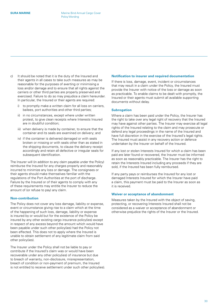- <span id="page-29-0"></span>c) It should be noted that it is the duty of the Insured and their agents in all cases to take such measures as may be reasonable for the purposes of averting or minimising a loss and/or damage and to ensure that all rights against the carriers or other third parties are properly preserved and exercised. Failure to do so may prejudice a claim hereunder. In particular, the Insured or their agents are required:
	- i) to promptly make a written claim for all loss on carriers, bailees, port authorities and other third parties;
	- ii) in no circumstances, except where under written protest, to give clean receipts where Interests Insured are in doubtful condition;
	- iii) when delivery is made by container, to ensure that the container and its seals are examined on delivery; and
	- iv) if the container is delivered damaged or with seals broken or missing or with seals other than as stated in the shipping documents, to clause the delivery receipt accordingly and retain all defective or irregular seals for subsequent identification.

The Insurer will (in addition to any claim payable under the Policy) reimburse the Insured for any charges properly and reasonably incurred to minimize any loss or damage. The consignees or their agents should make themselves familiar with the regulations of the Port Authorities at the port of discharge. Failure by the Insured or of their agents to comply with any of these requirements may entitle the Insurer to reduce the amount of (or refuse to pay) any claim.

#### **Non-contribution**

The Policy does not cover any loss damage, liability or expense, event or circumstance giving rise to a claim which at the time of the happening of such loss, damage, liability or expense is insured by or would but for the existence of the Policy be insured by any other existing cargo insurance policy(ies) except in respect of any excess beyond the amount which would have been payable under such other policy(ies) had the Policy not been effected. This does not to apply where the Insured is unable to obtain settlement of any legitimate claim from said other policy(ies).

The Insurer under the Policy shall not be liable to pay or contribute if the Insured's claim was or would have been recoverable under any other policy(ies) of insurance but due to breach of warranty, non-disclosure, misrepresentation, breach of condition or non-payment of premium, the Insured is not entitled to receive settlement under such other policy(ies).

#### **Notification to insurer and required documentation**

If there is loss, damage, event, incident or circumstances that may result in a claim under the Policy, the Insured must provide the Insurer with notice of the loss or damage as soon as practicable. To enable claims to be dealt with promptly, the Insured or their agents must submit all available supporting documents without delay.

#### **Subrogation**

Where a claim has been paid under the Policy, the Insurer has the right to take over any legal right of recovery that the Insured may have against other parties. The Insurer may exercise all legal rights of the Insured relating to the claim and may prosecute or defend any legal proceedings in the name of the Insured and have full discretion in the exercise of the Insured's legal rights. The Insured must assist in any recovery action or defence undertaken by the Insurer on behalf of the Insured.

If any lost or stolen Interests Insured for which a claim has been paid are later found or recovered, the Insurer must be informed as soon as reasonably practicable. The Insurer has the right to retain the Interests Insured including any proceeds if they are sold, if the Insured has been fully reimbursed.

If any party pays or reimburses the Insured for any lost or damaged Interests Insured for which the Insurer have paid a claim, this payment must be paid to the Insurer as soon as it is received.

#### **Waiver or acceptance of abandonment**

Measures taken by the Insured with the object of saving, protecting, or recovering Interests Insured shall not be considered as a waiver or acceptance of abandonment or otherwise prejudice the rights of the Insurer or the Insured.